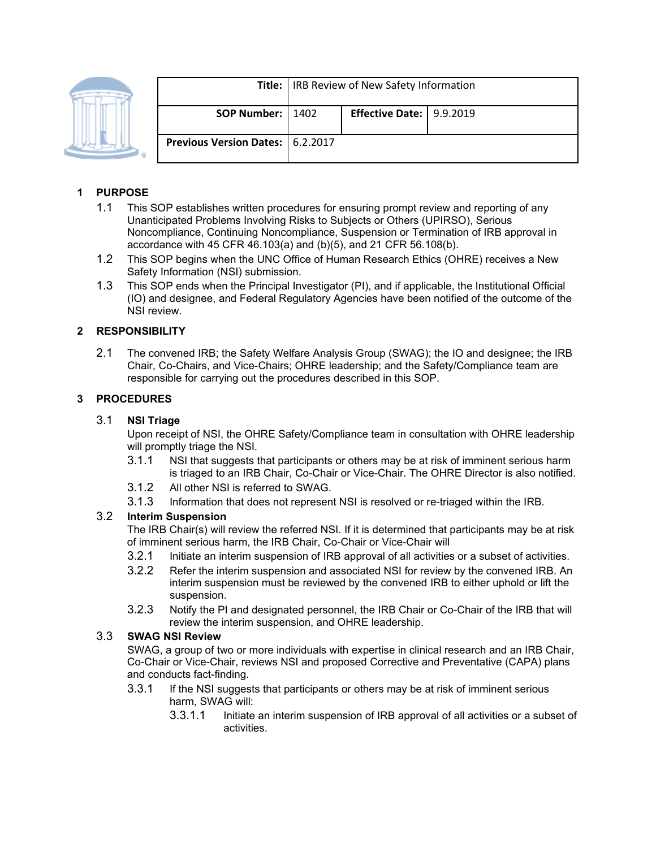

|                                    | <b>Title:</b>   IRB Review of New Safety Information |                            |  |
|------------------------------------|------------------------------------------------------|----------------------------|--|
| SOP Number:   1402                 |                                                      | Effective Date:   9.9.2019 |  |
| Previous Version Dates:   6.2.2017 |                                                      |                            |  |

# **1 PURPOSE**

- 1.1 This SOP establishes written procedures for ensuring prompt review and reporting of any Unanticipated Problems Involving Risks to Subjects or Others (UPIRSO), Serious Noncompliance, Continuing Noncompliance, Suspension or Termination of IRB approval in accordance with 45 CFR 46.103(a) and (b)(5), and 21 CFR 56.108(b).
- 1.2 This SOP begins when the UNC Office of Human Research Ethics (OHRE) receives a New Safety Information (NSI) submission.
- 1.3 This SOP ends when the Principal Investigator (PI), and if applicable, the Institutional Official (IO) and designee, and Federal Regulatory Agencies have been notified of the outcome of the NSI review.

### **2 RESPONSIBILITY**

2.1 The convened IRB; the Safety Welfare Analysis Group (SWAG); the IO and designee; the IRB Chair, Co-Chairs, and Vice-Chairs; OHRE leadership; and the Safety/Compliance team are responsible for carrying out the procedures described in this SOP.

### **3 PROCEDURES**

#### 3.1 **NSI Triage**

Upon receipt of NSI, the OHRE Safety/Compliance team in consultation with OHRE leadership will promptly triage the NSI.

- 3.1.1 NSI that suggests that participants or others may be at risk of imminent serious harm is triaged to an IRB Chair, Co-Chair or Vice-Chair. The OHRE Director is also notified.
- 3.1.2 All other NSI is referred to SWAG.
- 3.1.3 Information that does not represent NSI is resolved or re-triaged within the IRB.

### 3.2 **Interim Suspension**

The IRB Chair(s) will review the referred NSI. If it is determined that participants may be at risk of imminent serious harm, the IRB Chair, Co-Chair or Vice-Chair will

- 3.2.1 Initiate an interim suspension of IRB approval of all activities or a subset of activities.
- 3.2.2 Refer the interim suspension and associated NSI for review by the convened IRB. An interim suspension must be reviewed by the convened IRB to either uphold or lift the suspension.
- 3.2.3 Notify the PI and designated personnel, the IRB Chair or Co-Chair of the IRB that will review the interim suspension, and OHRE leadership.

#### 3.3 **SWAG NSI Review**

SWAG, a group of two or more individuals with expertise in clinical research and an IRB Chair, Co-Chair or Vice-Chair, reviews NSI and proposed Corrective and Preventative (CAPA) plans and conducts fact-finding.

- 3.3.1 If the NSI suggests that participants or others may be at risk of imminent serious harm, SWAG will:
	- 3.3.1.1 Initiate an interim suspension of IRB approval of all activities or a subset of activities.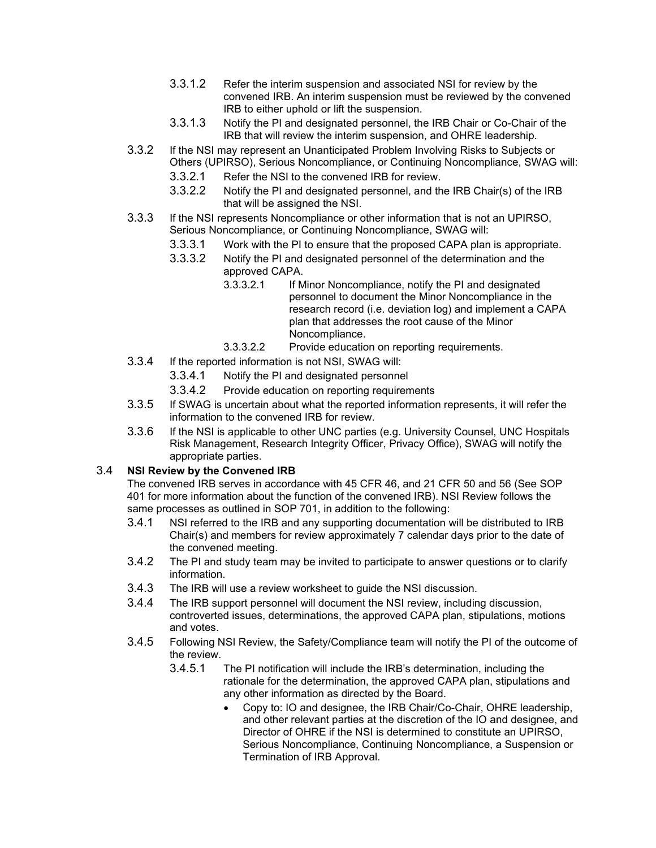- 3.3.1.2 Refer the interim suspension and associated NSI for review by the convened IRB. An interim suspension must be reviewed by the convened IRB to either uphold or lift the suspension.
- 3.3.1.3 Notify the PI and designated personnel, the IRB Chair or Co-Chair of the IRB that will review the interim suspension, and OHRE leadership.
- 3.3.2 If the NSI may represent an Unanticipated Problem Involving Risks to Subjects or Others (UPIRSO), Serious Noncompliance, or Continuing Noncompliance, SWAG will:
	- 3.3.2.1 Refer the NSI to the convened IRB for review.
	- 3.3.2.2 Notify the PI and designated personnel, and the IRB Chair(s) of the IRB that will be assigned the NSI.
- 3.3.3 If the NSI represents Noncompliance or other information that is not an UPIRSO, Serious Noncompliance, or Continuing Noncompliance, SWAG will:
	- 3.3.3.1 Work with the PI to ensure that the proposed CAPA plan is appropriate.
	- 3.3.3.2 Notify the PI and designated personnel of the determination and the approved CAPA.
		- 3.3.3.2.1 If Minor Noncompliance, notify the PI and designated personnel to document the Minor Noncompliance in the research record (i.e. deviation log) and implement a CAPA plan that addresses the root cause of the Minor Noncompliance.
		- 3.3.3.2.2 Provide education on reporting requirements.
- 3.3.4 If the reported information is not NSI, SWAG will:
	- 3.3.4.1 Notify the PI and designated personnel
	- 3.3.4.2 Provide education on reporting requirements
- 3.3.5 If SWAG is uncertain about what the reported information represents, it will refer the information to the convened IRB for review.
- 3.3.6 If the NSI is applicable to other UNC parties (e.g. University Counsel, UNC Hospitals Risk Management, Research Integrity Officer, Privacy Office), SWAG will notify the appropriate parties.

### 3.4 **NSI Review by the Convened IRB**

The convened IRB serves in accordance with 45 CFR 46, and 21 CFR 50 and 56 (See SOP 401 for more information about the function of the convened IRB). NSI Review follows the same processes as outlined in SOP 701, in addition to the following:

- 3.4.1 NSI referred to the IRB and any supporting documentation will be distributed to IRB Chair(s) and members for review approximately 7 calendar days prior to the date of the convened meeting.
- 3.4.2 The PI and study team may be invited to participate to answer questions or to clarify information.
- 3.4.3 The IRB will use a review worksheet to guide the NSI discussion.
- 3.4.4 The IRB support personnel will document the NSI review, including discussion, controverted issues, determinations, the approved CAPA plan, stipulations, motions and votes.
- 3.4.5 Following NSI Review, the Safety/Compliance team will notify the PI of the outcome of the review.
	- 3.4.5.1 The PI notification will include the IRB's determination, including the rationale for the determination, the approved CAPA plan, stipulations and any other information as directed by the Board.
		- Copy to: IO and designee, the IRB Chair/Co-Chair, OHRE leadership, and other relevant parties at the discretion of the IO and designee, and Director of OHRE if the NSI is determined to constitute an UPIRSO, Serious Noncompliance, Continuing Noncompliance, a Suspension or Termination of IRB Approval.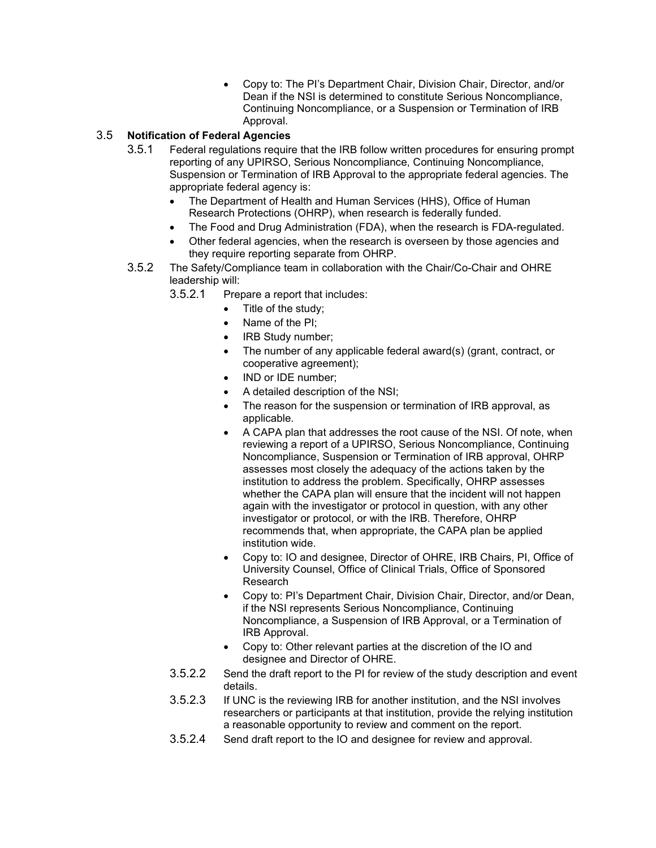• Copy to: The PI's Department Chair, Division Chair, Director, and/or Dean if the NSI is determined to constitute Serious Noncompliance, Continuing Noncompliance, or a Suspension or Termination of IRB Approval.

# 3.5 **Notification of Federal Agencies**

- 3.5.1 Federal regulations require that the IRB follow written procedures for ensuring prompt reporting of any UPIRSO, Serious Noncompliance, Continuing Noncompliance, Suspension or Termination of IRB Approval to the appropriate federal agencies. The appropriate federal agency is:
	- The Department of Health and Human Services (HHS), Office of Human Research Protections (OHRP), when research is federally funded.
	- The Food and Drug Administration (FDA), when the research is FDA-regulated.
	- Other federal agencies, when the research is overseen by those agencies and they require reporting separate from OHRP.
- 3.5.2 The Safety/Compliance team in collaboration with the Chair/Co-Chair and OHRE leadership will:

3.5.2.1 Prepare a report that includes:

- Title of the study;
- Name of the PI;
- IRB Study number;
- The number of any applicable federal award(s) (grant, contract, or cooperative agreement);
- IND or IDE number;
- A detailed description of the NSI;
- The reason for the suspension or termination of IRB approval, as applicable.
- A CAPA plan that addresses the root cause of the NSI. Of note, when reviewing a report of a UPIRSO, Serious Noncompliance, Continuing Noncompliance, Suspension or Termination of IRB approval, OHRP assesses most closely the adequacy of the actions taken by the institution to address the problem. Specifically, OHRP assesses whether the CAPA plan will ensure that the incident will not happen again with the investigator or protocol in question, with any other investigator or protocol, or with the IRB. Therefore, OHRP recommends that, when appropriate, the CAPA plan be applied institution wide.
- Copy to: IO and designee, Director of OHRE, IRB Chairs, PI, Office of University Counsel, Office of Clinical Trials, Office of Sponsored Research
- Copy to: PI's Department Chair, Division Chair, Director, and/or Dean, if the NSI represents Serious Noncompliance, Continuing Noncompliance, a Suspension of IRB Approval, or a Termination of IRB Approval.
- Copy to: Other relevant parties at the discretion of the IO and designee and Director of OHRE.
- 3.5.2.2 Send the draft report to the PI for review of the study description and event details.
- 3.5.2.3 If UNC is the reviewing IRB for another institution, and the NSI involves researchers or participants at that institution, provide the relying institution a reasonable opportunity to review and comment on the report.
- 3.5.2.4 Send draft report to the IO and designee for review and approval.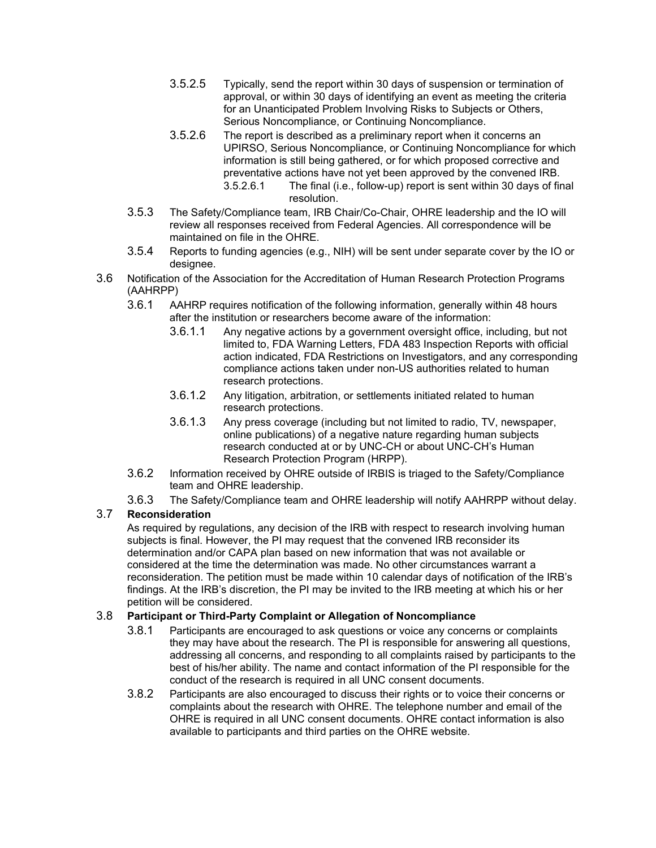- 3.5.2.5 Typically, send the report within 30 days of suspension or termination of approval, or within 30 days of identifying an event as meeting the criteria for an Unanticipated Problem Involving Risks to Subjects or Others, Serious Noncompliance, or Continuing Noncompliance.
- 3.5.2.6 The report is described as a preliminary report when it concerns an UPIRSO, Serious Noncompliance, or Continuing Noncompliance for which information is still being gathered, or for which proposed corrective and preventative actions have not yet been approved by the convened IRB. 3.5.2.6.1 The final (i.e., follow-up) report is sent within 30 days of final resolution.
- 3.5.3 The Safety/Compliance team, IRB Chair/Co-Chair, OHRE leadership and the IO will review all responses received from Federal Agencies. All correspondence will be maintained on file in the OHRE.
- 3.5.4 Reports to funding agencies (e.g., NIH) will be sent under separate cover by the IO or designee.
- 3.6 Notification of the Association for the Accreditation of Human Research Protection Programs (AAHRPP)
	- 3.6.1 AAHRP requires notification of the following information, generally within 48 hours after the institution or researchers become aware of the information:
		- 3.6.1.1 Any negative actions by a government oversight office, including, but not limited to, FDA Warning Letters, FDA 483 Inspection Reports with official action indicated, FDA Restrictions on Investigators, and any corresponding compliance actions taken under non-US authorities related to human research protections.
		- 3.6.1.2 Any litigation, arbitration, or settlements initiated related to human research protections.
		- 3.6.1.3 Any press coverage (including but not limited to radio, TV, newspaper, online publications) of a negative nature regarding human subjects research conducted at or by UNC-CH or about UNC-CH's Human Research Protection Program (HRPP).
	- 3.6.2 Information received by OHRE outside of IRBIS is triaged to the Safety/Compliance team and OHRE leadership.
	- 3.6.3 The Safety/Compliance team and OHRE leadership will notify AAHRPP without delay.

# 3.7 **Reconsideration**

As required by regulations, any decision of the IRB with respect to research involving human subjects is final. However, the PI may request that the convened IRB reconsider its determination and/or CAPA plan based on new information that was not available or considered at the time the determination was made. No other circumstances warrant a reconsideration. The petition must be made within 10 calendar days of notification of the IRB's findings. At the IRB's discretion, the PI may be invited to the IRB meeting at which his or her petition will be considered.

### 3.8 **Participant or Third-Party Complaint or Allegation of Noncompliance**

- 3.8.1 Participants are encouraged to ask questions or voice any concerns or complaints they may have about the research. The PI is responsible for answering all questions, addressing all concerns, and responding to all complaints raised by participants to the best of his/her ability. The name and contact information of the PI responsible for the conduct of the research is required in all UNC consent documents.
- 3.8.2 Participants are also encouraged to discuss their rights or to voice their concerns or complaints about the research with OHRE. The telephone number and email of the OHRE is required in all UNC consent documents. OHRE contact information is also available to participants and third parties on the OHRE website.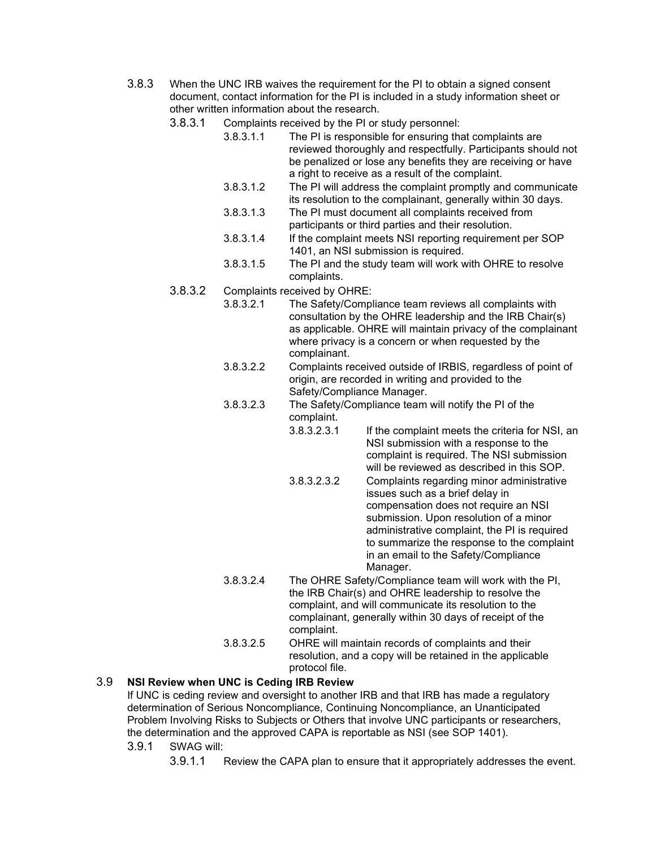- 3.8.3 When the UNC IRB waives the requirement for the PI to obtain a signed consent document, contact information for the PI is included in a study information sheet or other written information about the research.
	- 3.8.3.1 Complaints received by the PI or study personnel:
		- 3.8.3.1.1 The PI is responsible for ensuring that complaints are reviewed thoroughly and respectfully. Participants should not be penalized or lose any benefits they are receiving or have a right to receive as a result of the complaint.
		- 3.8.3.1.2 The PI will address the complaint promptly and communicate its resolution to the complainant, generally within 30 days.
		- 3.8.3.1.3 The PI must document all complaints received from participants or third parties and their resolution.
		- 3.8.3.1.4 If the complaint meets NSI reporting requirement per SOP 1401, an NSI submission is required.
		- 3.8.3.1.5 The PI and the study team will work with OHRE to resolve complaints.
	- 3.8.3.2 Complaints received by OHRE:
		- 3.8.3.2.1 The Safety/Compliance team reviews all complaints with consultation by the OHRE leadership and the IRB Chair(s) as applicable. OHRE will maintain privacy of the complainant where privacy is a concern or when requested by the complainant.
		- 3.8.3.2.2 Complaints received outside of IRBIS, regardless of point of origin, are recorded in writing and provided to the Safety/Compliance Manager.
		- 3.8.3.2.3 The Safety/Compliance team will notify the PI of the complaint.
			- 3.8.3.2.3.1 If the complaint meets the criteria for NSI, an NSI submission with a response to the complaint is required. The NSI submission will be reviewed as described in this SOP.
			- 3.8.3.2.3.2 Complaints regarding minor administrative issues such as a brief delay in compensation does not require an NSI submission. Upon resolution of a minor administrative complaint, the PI is required to summarize the response to the complaint in an email to the Safety/Compliance Manager.
		- 3.8.3.2.4 The OHRE Safety/Compliance team will work with the PI, the IRB Chair(s) and OHRE leadership to resolve the complaint, and will communicate its resolution to the complainant, generally within 30 days of receipt of the complaint.
		- 3.8.3.2.5 OHRE will maintain records of complaints and their resolution, and a copy will be retained in the applicable protocol file.

### 3.9 **NSI Review when UNC is Ceding IRB Review**

If UNC is ceding review and oversight to another IRB and that IRB has made a regulatory determination of Serious Noncompliance, Continuing Noncompliance, an Unanticipated Problem Involving Risks to Subjects or Others that involve UNC participants or researchers, the determination and the approved CAPA is reportable as NSI (see SOP 1401).

- 3.9.1 SWAG will:
	- 3.9.1.1 Review the CAPA plan to ensure that it appropriately addresses the event.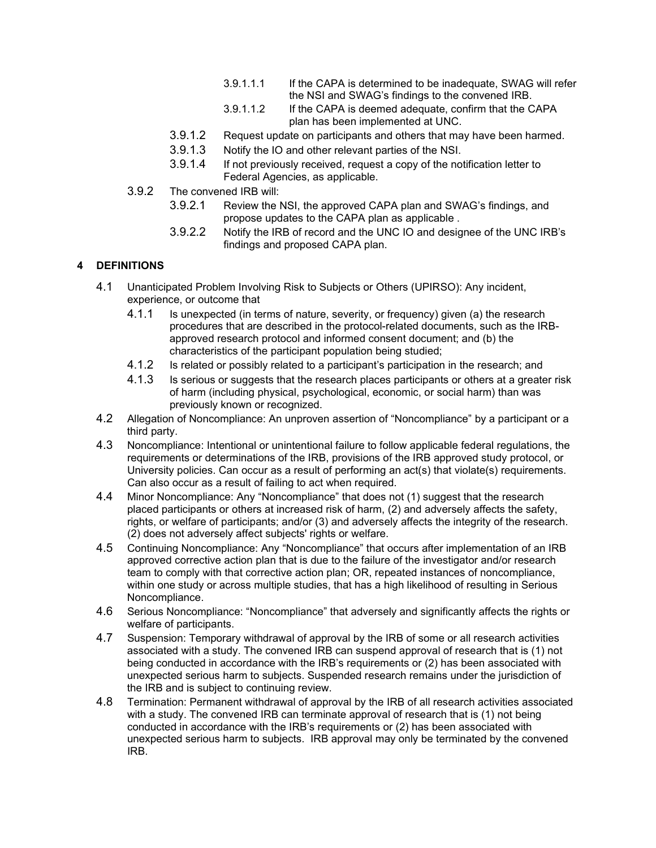- 3.9.1.1.1 If the CAPA is determined to be inadequate, SWAG will refer the NSI and SWAG's findings to the convened IRB.
- 3.9.1.1.2 If the CAPA is deemed adequate, confirm that the CAPA plan has been implemented at UNC.
- 3.9.1.2 Request update on participants and others that may have been harmed.
- 3.9.1.3 Notify the IO and other relevant parties of the NSI.
- 3.9.1.4 If not previously received, request a copy of the notification letter to Federal Agencies, as applicable.
- 3.9.2 The convened IRB will:
	- 3.9.2.1 Review the NSI, the approved CAPA plan and SWAG's findings, and propose updates to the CAPA plan as applicable .
	- 3.9.2.2 Notify the IRB of record and the UNC IO and designee of the UNC IRB's findings and proposed CAPA plan.

# **4 DEFINITIONS**

- 4.1 Unanticipated Problem Involving Risk to Subjects or Others (UPIRSO): Any incident, experience, or outcome that
	- 4.1.1 Is unexpected (in terms of nature, severity, or frequency) given (a) the research procedures that are described in the protocol-related documents, such as the IRBapproved research protocol and informed consent document; and (b) the characteristics of the participant population being studied;
	- 4.1.2 Is related or possibly related to a participant's participation in the research; and
	- 4.1.3 Is serious or suggests that the research places participants or others at a greater risk of harm (including physical, psychological, economic, or social harm) than was previously known or recognized.
- 4.2 Allegation of Noncompliance: An unproven assertion of "Noncompliance" by a participant or a third party.
- 4.3 Noncompliance: Intentional or unintentional failure to follow applicable federal regulations, the requirements or determinations of the IRB, provisions of the IRB approved study protocol, or University policies. Can occur as a result of performing an act(s) that violate(s) requirements. Can also occur as a result of failing to act when required.
- 4.4 Minor Noncompliance: Any "Noncompliance" that does not (1) suggest that the research placed participants or others at increased risk of harm, (2) and adversely affects the safety, rights, or welfare of participants; and/or (3) and adversely affects the integrity of the research. (2) does not adversely affect subjects' rights or welfare.
- 4.5 Continuing Noncompliance: Any "Noncompliance" that occurs after implementation of an IRB approved corrective action plan that is due to the failure of the investigator and/or research team to comply with that corrective action plan; OR, repeated instances of noncompliance, within one study or across multiple studies, that has a high likelihood of resulting in Serious Noncompliance.
- 4.6 Serious Noncompliance: "Noncompliance" that adversely and significantly affects the rights or welfare of participants.
- 4.7 Suspension: Temporary withdrawal of approval by the IRB of some or all research activities associated with a study. The convened IRB can suspend approval of research that is (1) not being conducted in accordance with the IRB's requirements or (2) has been associated with unexpected serious harm to subjects. Suspended research remains under the jurisdiction of the IRB and is subject to continuing review.
- 4.8 Termination: Permanent withdrawal of approval by the IRB of all research activities associated with a study. The convened IRB can terminate approval of research that is (1) not being conducted in accordance with the IRB's requirements or (2) has been associated with unexpected serious harm to subjects. IRB approval may only be terminated by the convened IRB.